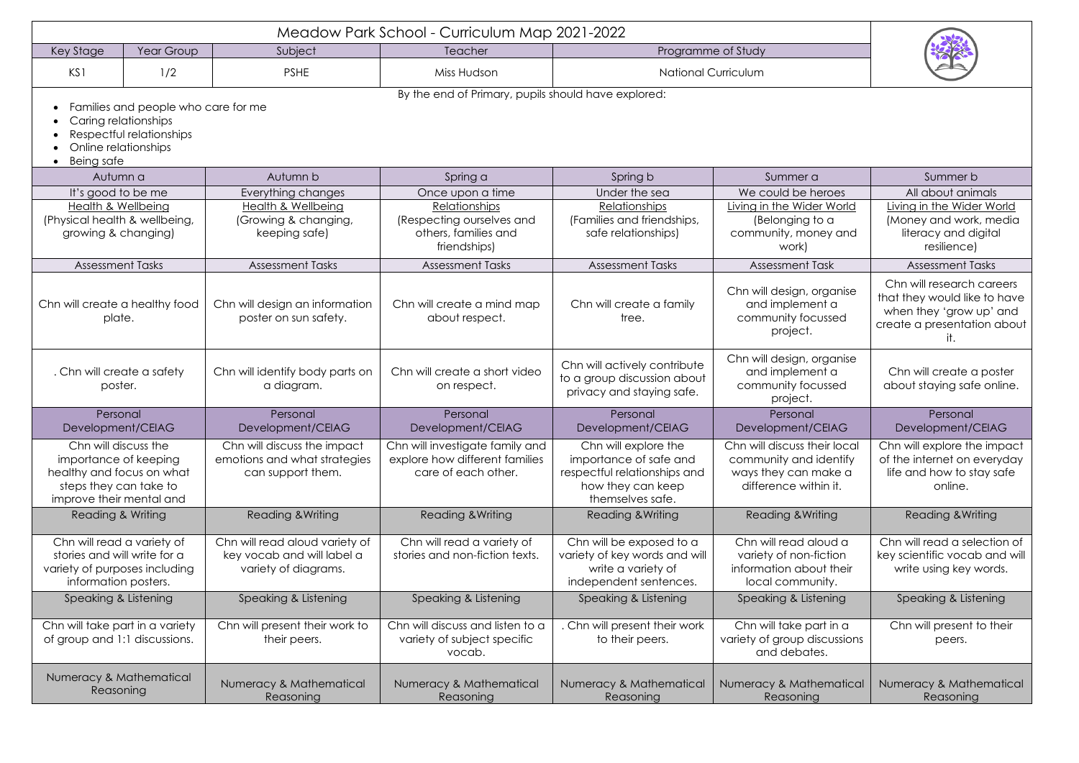| Key Stage                                                                                                                        | Year Group | Subject                                                                              | Teacher                                                                                  | Programme of Study                                                                                                      |                                                                                                         |                                                                                                                            |  |  |  |  |
|----------------------------------------------------------------------------------------------------------------------------------|------------|--------------------------------------------------------------------------------------|------------------------------------------------------------------------------------------|-------------------------------------------------------------------------------------------------------------------------|---------------------------------------------------------------------------------------------------------|----------------------------------------------------------------------------------------------------------------------------|--|--|--|--|
| KS1                                                                                                                              | 1/2        | <b>PSHE</b>                                                                          | Miss Hudson                                                                              | <b>National Curriculum</b>                                                                                              |                                                                                                         |                                                                                                                            |  |  |  |  |
| By the end of Primary, pupils should have explored:                                                                              |            |                                                                                      |                                                                                          |                                                                                                                         |                                                                                                         |                                                                                                                            |  |  |  |  |
| Families and people who care for me<br>Caring relationships<br>Respectful relationships<br>Online relationships<br>Being safe    |            |                                                                                      |                                                                                          |                                                                                                                         |                                                                                                         |                                                                                                                            |  |  |  |  |
| Autumn a                                                                                                                         |            | Autumn b                                                                             | Spring a                                                                                 | Spring b                                                                                                                | Summer a                                                                                                | Summer b                                                                                                                   |  |  |  |  |
| It's good to be me                                                                                                               |            | Everything changes                                                                   | Once upon a time                                                                         | Under the sea                                                                                                           | We could be heroes                                                                                      | All about animals                                                                                                          |  |  |  |  |
| <b>Health &amp; Wellbeing</b><br>(Physical health & wellbeing,<br>growing & changing)                                            |            | Health & Wellbeing<br>(Growing & changing,<br>keeping safe)                          | Relationships<br>(Respecting ourselves and<br>others, families and<br>friendships)       | <b>Relationships</b><br>(Families and friendships,<br>safe relationships)                                               | Living in the Wider World<br>(Belonging to a<br>community, money and<br>work)                           | Living in the Wider World<br>(Money and work, media<br>literacy and digital<br>resilience)                                 |  |  |  |  |
| <b>Assessment Tasks</b>                                                                                                          |            | <b>Assessment Tasks</b>                                                              | <b>Assessment Tasks</b>                                                                  | <b>Assessment Tasks</b>                                                                                                 | <b>Assessment Task</b>                                                                                  | <b>Assessment Tasks</b>                                                                                                    |  |  |  |  |
| Chn will create a healthy food<br>plate.                                                                                         |            | Chn will design an information<br>poster on sun safety.                              | Chn will create a mind map<br>about respect.                                             | Chn will create a family<br>tree.                                                                                       | Chn will design, organise<br>and implement a<br>community focussed<br>project.                          | Chn will research careers<br>that they would like to have<br>when they 'grow up' and<br>create a presentation about<br>it. |  |  |  |  |
| . Chn will create a safety<br>poster.                                                                                            |            | Chn will identify body parts on<br>a diagram.                                        | Chn will create a short video<br>on respect.                                             | Chn will actively contribute<br>to a group discussion about<br>privacy and staying safe.                                | Chn will design, organise<br>and implement a<br>community focussed<br>project.                          | Chn will create a poster<br>about staying safe online.                                                                     |  |  |  |  |
| Personal<br>Development/CEIAG                                                                                                    |            | Personal<br>Development/CEIAG                                                        | Personal<br>Development/CEIAG                                                            | Personal<br>Development/CEIAG                                                                                           | Personal<br>Development/CEIAG                                                                           | Personal<br>Development/CEIAG                                                                                              |  |  |  |  |
| Chn will discuss the<br>importance of keeping<br>healthy and focus on what<br>steps they can take to<br>improve their mental and |            | Chn will discuss the impact<br>emotions and what strategies<br>can support them.     | Chn will investigate family and<br>explore how different families<br>care of each other. | Chn will explore the<br>importance of safe and<br>respectful relationships and<br>how they can keep<br>themselves safe. | Chn will discuss their local<br>community and identify<br>ways they can make a<br>difference within it. | Chn will explore the impact<br>of the internet on everyday<br>life and how to stay safe<br>online.                         |  |  |  |  |
| Reading & Writing                                                                                                                |            | <b>Reading &amp; Writing</b>                                                         | Reading & Writing                                                                        | <b>Reading &amp; Writing</b>                                                                                            | <b>Reading &amp; Writing</b>                                                                            | <b>Reading &amp; Writing</b>                                                                                               |  |  |  |  |
| Chn will read a variety of<br>stories and will write for a<br>variety of purposes including<br>information posters.              |            | Chn will read aloud variety of<br>key vocab and will label a<br>variety of diagrams. | Chn will read a variety of<br>stories and non-fiction texts.                             | Chn will be exposed to a<br>variety of key words and will<br>write a variety of<br>independent sentences.               | Chn will read aloud a<br>variety of non-fiction<br>information about their<br>local community.          | Chn will read a selection of<br>key scientific vocab and will<br>write using key words.                                    |  |  |  |  |
| Speaking & Listening                                                                                                             |            | Speaking & Listening                                                                 | Speaking & Listening                                                                     | Speaking & Listening                                                                                                    | Speaking & Listening                                                                                    | Speaking & Listening                                                                                                       |  |  |  |  |
| Chn will take part in a variety<br>of group and 1:1 discussions.                                                                 |            | Chn will present their work to<br>their peers.                                       | Chn will discuss and listen to a<br>variety of subject specific<br>vocab.                | . Chn will present their work<br>to their peers.                                                                        | Chn will take part in a<br>variety of group discussions<br>and debates.                                 | Chn will present to their<br>peers.                                                                                        |  |  |  |  |
| Numeracy & Mathematical<br>Reasoning                                                                                             |            | Numeracy & Mathematical<br>Reasoning                                                 | Numeracy & Mathematical<br>Reasoning                                                     | Numeracy & Mathematical<br>Reasoning                                                                                    | Numeracy & Mathematical<br>Reasoning                                                                    | Numeracy & Mathematical<br>Reasoning                                                                                       |  |  |  |  |

|--|